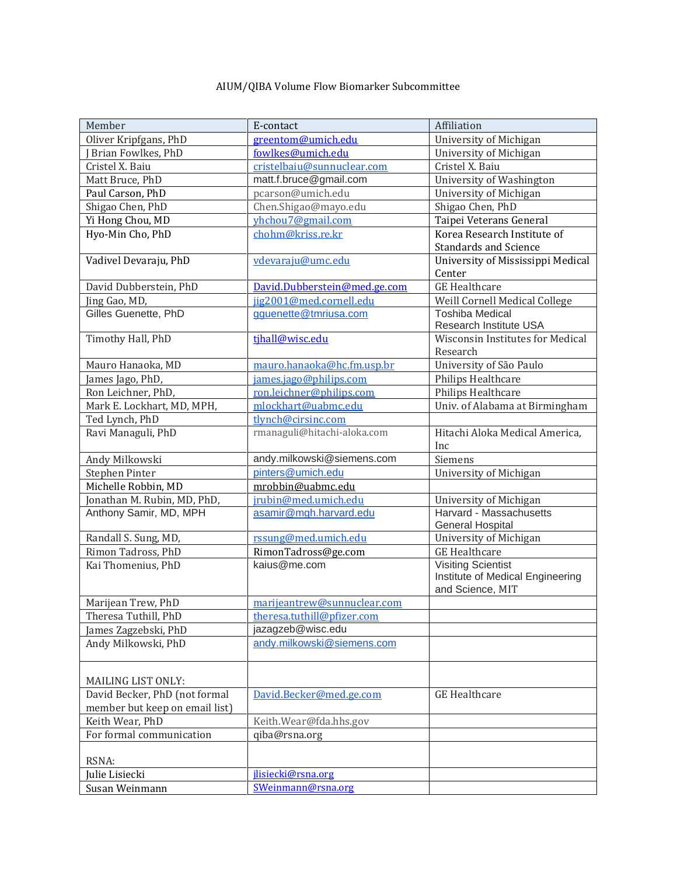## AIUM/QIBA Volume Flow Biomarker Subcommittee

| Member                         | E-contact                                       | Affiliation                             |
|--------------------------------|-------------------------------------------------|-----------------------------------------|
| Oliver Kripfgans, PhD          | greentom@umich.edu                              | University of Michigan                  |
| Brian Fowlkes, PhD             | fowlkes@umich.edu                               | University of Michigan                  |
| Cristel X. Baiu                | cristelbaiu@sunnuclear.com                      | Cristel X. Baiu                         |
| Matt Bruce, PhD                | matt.f.bruce@gmail.com                          | University of Washington                |
| Paul Carson, PhD               | pcarson@umich.edu                               | University of Michigan                  |
| Shigao Chen, PhD               | Chen.Shigao@mayo.edu                            | Shigao Chen, PhD                        |
| Yi Hong Chou, MD               | yhchou7@gmail.com                               | Taipei Veterans General                 |
| Hyo-Min Cho, PhD               | chohm@kriss.re.kr                               | Korea Research Institute of             |
|                                |                                                 | <b>Standards and Science</b>            |
| Vadivel Devaraju, PhD          | vdevaraju@umc.edu                               | University of Mississippi Medical       |
|                                |                                                 | Center                                  |
| David Dubberstein, PhD         | David.Dubberstein@med.ge.com                    | <b>GE</b> Healthcare                    |
| Jing Gao, MD,                  | jig2001@med.cornell.edu                         | Weill Cornell Medical College           |
| Gilles Guenette, PhD           | gguenette@tmriusa.com                           | Toshiba Medical                         |
|                                |                                                 | Research Institute USA                  |
| Timothy Hall, PhD              | tjhall@wisc.edu                                 | <b>Wisconsin Institutes for Medical</b> |
|                                |                                                 | Research                                |
| Mauro Hanaoka, MD              | mauro.hanaoka@hc.fm.usp.br                      | University of São Paulo                 |
| James Jago, PhD,               | james.jago@philips.com                          | Philips Healthcare                      |
| Ron Leichner, PhD,             | ron.leichner@philips.com                        | Philips Healthcare                      |
| Mark E. Lockhart, MD, MPH,     | mlockhart@uabmc.edu                             | Univ. of Alabama at Birmingham          |
| Ted Lynch, PhD                 | tlynch@cirsinc.com                              |                                         |
| Ravi Managuli, PhD             | rmanaguli@hitachi-aloka.com                     | Hitachi Aloka Medical America,          |
|                                |                                                 | Inc                                     |
| Andy Milkowski                 | andy.milkowski@siemens.com                      | Siemens                                 |
| Stephen Pinter                 | pinters@umich.edu                               | University of Michigan                  |
| Michelle Robbin, MD            | mrobbin@uabmc.edu                               |                                         |
| Jonathan M. Rubin, MD, PhD,    | jrubin@med.umich.edu                            | University of Michigan                  |
| Anthony Samir, MD, MPH         | asamir@mgh.harvard.edu                          | Harvard - Massachusetts                 |
|                                |                                                 | General Hospital                        |
| Randall S. Sung, MD,           | rssung@med.umich.edu                            | University of Michigan                  |
| Rimon Tadross, PhD             | RimonTadross@ge.com                             | <b>GE</b> Healthcare                    |
| Kai Thomenius, PhD             | kaius@me.com                                    | <b>Visiting Scientist</b>               |
|                                |                                                 | Institute of Medical Engineering        |
|                                |                                                 | and Science, MIT                        |
| Marijean Trew, PhD             | marijeantrew@sunnuclear.com                     |                                         |
| Theresa Tuthill, PhD           | theresa.tuthill@pfizer.com<br>jazagzeb@wisc.edu |                                         |
| James Zagzebski, PhD           | andy.milkowski@siemens.com                      |                                         |
| Andy Milkowski, PhD            |                                                 |                                         |
|                                |                                                 |                                         |
| MAILING LIST ONLY:             |                                                 |                                         |
| David Becker, PhD (not formal  | David.Becker@med.ge.com                         | <b>GE</b> Healthcare                    |
| member but keep on email list) |                                                 |                                         |
| Keith Wear, PhD                | Keith.Wear@fda.hhs.gov                          |                                         |
| For formal communication       | qiba@rsna.org                                   |                                         |
|                                |                                                 |                                         |
| RSNA:                          |                                                 |                                         |
| Julie Lisiecki                 | jlisiecki@rsna.org                              |                                         |
| Susan Weinmann                 | SWeinmann@rsna.org                              |                                         |
|                                |                                                 |                                         |